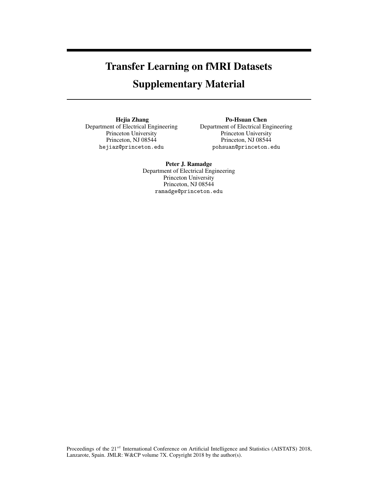# Transfer Learning on fMRI Datasets

# Supplementary Material

Hejia Zhang Department of Electrical Engineering Princeton University Princeton, NJ 08544 hejiaz@princeton.edu

Po-Hsuan Chen Department of Electrical Engineering Princeton University Princeton, NJ 08544 pohsuan@princeton.edu

# Peter J. Ramadge

Department of Electrical Engineering Princeton University Princeton, NJ 08544 ramadge@princeton.edu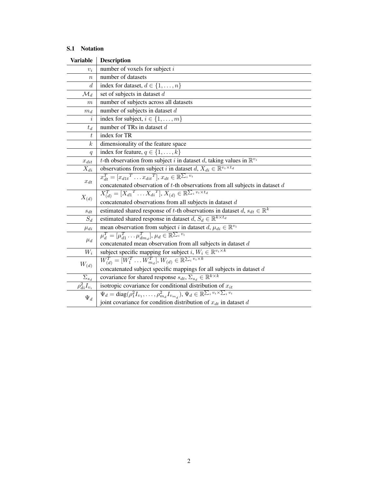# S.1 Notation

| <b>Variable</b>              | <b>Description</b>                                                                                                              |
|------------------------------|---------------------------------------------------------------------------------------------------------------------------------|
| $v_i$                        | number of voxels for subject $i$                                                                                                |
| $\boldsymbol{n}$             | number of datasets                                                                                                              |
| $\boldsymbol{d}$             | index for dataset, $d \in \{1, , n\}$                                                                                           |
| $\mathcal{M}_d$              | set of subjects in dataset d                                                                                                    |
| $_{m}$                       | number of subjects across all datasets                                                                                          |
| $m_d$                        | number of subjects in dataset $d$                                                                                               |
| $\it i$                      | index for subject, $i \in \{1, \ldots, m\}$                                                                                     |
| $t_d$                        | number of TRs in dataset $d$                                                                                                    |
| t                            | index for TR                                                                                                                    |
| $\boldsymbol{k}$             | dimensionality of the feature space                                                                                             |
| q                            | index for feature, $q \in \{1, \ldots, k\}$                                                                                     |
| $x_{dit}$                    | t-th observation from subject i in dataset d, taking values in $\mathbb{R}^{v_i}$                                               |
| $X_{di}$                     | observations from subject i in dataset $d, X_{di} \in \mathbb{R}^{v_i \times t_d}$                                              |
| $x_{dt}$                     | $x_{dt}^T = [x_{d1t}^T \dots x_{dit}^T], x_{dt} \in \mathbb{R}^{\sum_i v_i}$                                                    |
|                              | concatenated observation of t-th observations from all subjects in dataset $d$                                                  |
| $X_{(d)}$                    | $X_{(d)}^T = [X_{d1}^T \dots X_{di}^T], X_{(d)} \in \mathbb{R}^{\sum_i v_i \times t_d}$                                         |
|                              | concatenated observations from all subjects in dataset d                                                                        |
| $s_{dt}$                     | estimated shared response of t-th observations in dataset $d, s_{dt} \in \mathbb{R}^k$                                          |
| $S_d$                        | estimated shared response in dataset $d, S_d \in \mathbb{R}^{k \times t_d}$                                                     |
| $\mu_{di}$                   | mean observation from subject i in dataset $d, \mu_{di} \in \mathbb{R}^{v_i}$                                                   |
| $\mu_d$                      | $\mu_d^T = [\mu_{d1}^T \dots \mu_{d{m_d}}^T], \mu_d \in \mathbb{R}^{\sum_i v_i}$                                                |
|                              | concatenated mean observation from all subjects in dataset d                                                                    |
| $W_i$                        | subject specific mapping for subject i, $W_i \in \mathbb{R}^{v_i \times k}$                                                     |
| $W_{(d)}$                    | $W_{(d)}^T = [W_1^T \dots W_{m_d}^T], W_{(d)} \in \mathbb{R}^{\sum_i v_i \times k}$                                             |
|                              | concatenated subject specific mappings for all subjects in dataset $d$                                                          |
| $\Sigma_{s_{\underline{d}}}$ | covariance for shared response $s_{dt}$ , $\Sigma_{s_d} \in \mathbb{R}^{k \times k}$                                            |
| $\rho_{di}^2 I_{v_i}$        | isotropic covariance for conditional distribution of $x_{it}$                                                                   |
| $\Psi_d$                     | $\Psi_d = \text{diag}(\rho_1^2 I_{v_1}, \dots, \rho_{m_d}^2 I_{v_{m_d}}), \Psi_d \in \mathbb{R}^{\sum_i v_i \times \sum_i v_i}$ |
|                              | joint covariance for condition distribution of $x_{dt}$ in dataset d                                                            |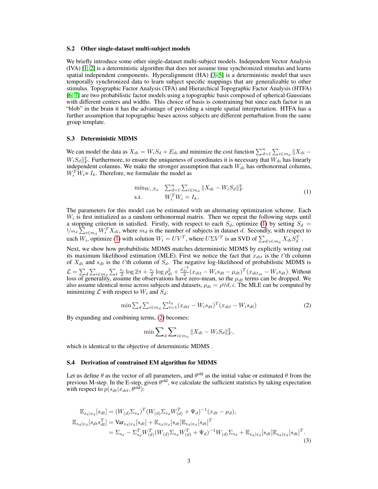#### S.2 Other single-dataset multi-subject models

We briefly introduce some other single-dataset multi-subject models. Independent Vector Analysis (IVA) [\[1,](#page-7-0) [2\]](#page-7-1) is a deterministic algorithm that does not assume time synchronized stimulus and learns spatial independent components. Hyperalignment (HA) [\[3](#page-7-2)[–5\]](#page-7-3) is a deterministic model that uses temporally synchronized data to learn subject specific mappings that are generalizable to other stimulus. Topographic Factor Analysis (TFA) and Hierarchical Topographic Factor Analysis (HTFA) [\[6,](#page-7-4) [7\]](#page-7-5) are two probabilistic factor models using a topographic basis composed of spherical Gaussians with different centers and widths. This choice of basis is constraining but since each factor is an "blob" in the brain it has the advantage of providing a simple spatial interpretation. HTFA has a further assumption that topographic bases across subjects are different perturbation from the same group template.

#### <span id="page-2-0"></span>S.3 Deterministic MDMS

We can model the data as  $X_{di} = W_i S_d + E_{di}$  and minimize the cost function  $\sum_{d=1}^{n} \sum_{i \in m_d} ||X_{di} - X_{di}||$  $W_i S_d ||_F^2$ . Furthermore, to ensure the uniqueness of coordinates it is necessary that  $W_{di}$  has linearly independent columns. We make the stronger assumption that each  $W_{di}$  has orthonormal columns,  $W_i^T \hat{W}_i = I_k$ . Therefore, we formulate the model as

$$
\min_{W_i, S_d} \sum_{d=1}^{n} \sum_{i \in m_d} \|X_{di} - W_i S_d\|_F^2
$$
\n
$$
\text{s.t.} \quad W_i^T W_i = I_k,\tag{1}
$$

The parameters for this model can be estimated with an alternating optimization scheme. Each  $W_i$  is first initialized as a random orthonormal matrix. Then we repeat the following steps until a stopping criterion in satisfied. Firstly, with respect to each  $S_d$ , optimize [\(1\)](#page-2-0) by setting  $S_d$  =  $1/m_d \sum_{i \in m_d} W_i^T X_{di}$ , where  $m_d$  is the number of subjects in dataset d. Secondly, with respect to each  $W_i$ , optimize [\(1\)](#page-2-0) with solution  $W_i = UV^T$ , where  $U\Sigma V^T$  is an SVD of  $\sum_{d:i \in m_d} X_{di} S_d^T$ .

Next, we show how probabilistic MDMS matches deterministic MDMS by explicitly writing out its maximum likelihood estimation (MLE). First we notice the fact that  $x_{dit}$  is the t'th column of  $X_{di}$  and  $s_{dt}$  is the t'th column of  $S_d$ . The negative log-likelihood of probabilistic MDMS is  $\mathcal{L} = \sum_{d} \sum_{i \in m_d} \sum_{t} \frac{v_i}{2} \log 2\pi + \frac{v_i}{2} \log \rho_{di}^2 + \frac{\rho_{di}^{2}}{2} (x_{dit} - W_i s_{dt} - \mu_{dt})^T (x_{dit_{dt}} - W_i s_{dt}).$  Without loss of generality, assume the observations have zero-mean, so the  $\mu_{dt}$  terms can be dropped. We also assume identical noise across subjects and datasets,  $\rho_{di} = \rho \forall d, i$ . The MLE can be computed by minimizing  $\mathcal L$  with respect to  $W_i$  and  $S_d$ :

$$
\min \sum_{d} \sum_{i \in m_d} \sum_{t=1}^{t_d} (x_{dit} - W_i s_{dt})^T (x_{dit} - W_i s_{dt}) \tag{2}
$$

By expanding and combining terms, [\(2\)](#page-2-0) becomes:

$$
\min \sum_{d} \sum_{i \in m_d} \|X_{di} - W_i S_d\|_F^2,
$$

which is identical to the objective of deterministic MDMS .

# S.4 Derivation of constrained EM algorithm for MDMS

Let us define  $\theta$  as the vector of all parameters, and  $\theta^{old}$  as the initial value or estimated  $\theta$  from the previous M-step. In the E-step, given  $\theta^{old}$ , we calculate the sufficient statistics by taking expectation with respect to  $p(s_{dt}|x_{dit}, \theta^{old})$ :

$$
\mathbb{E}_{s_d|x_d}[s_{dt}] = (W_{(d)}\Sigma_{s_d})^T (W_{(d)}\Sigma_{s_d}W_{(d)}^T + \Psi_d)^{-1}(x_{dt} - \mu_d),
$$
  
\n
$$
\mathbb{E}_{s_d|x_d}[s_{dt}s_{dt}^T] = \text{Var}_{s_d|x_d}[s_{dt}] + \mathbb{E}_{s_d|x_d}[s_{dt}]\mathbb{E}_{s_d|x_d}[s_{dt}]^T
$$
  
\n
$$
= \Sigma_{s_d} - \Sigma_{s_d}^T W_{(d)}^T (W_{(d)}\Sigma_{s_d}W_{(d)}^T + \Psi_d)^{-1}W_{(d)}\Sigma_{s_d} + \mathbb{E}_{s_d|x_d}[s_{dt}]\mathbb{E}_{s_d|x_d}[s_{dt}]^T.
$$
\n(3)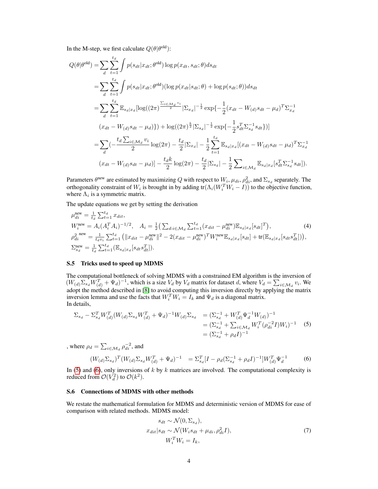In the M-step, we first calculate  $Q(\theta | \theta^{\text{old}})$ :

$$
Q(\theta|\theta^{\text{old}}) = \sum_{d} \sum_{t=1}^{t_d} \int p(s_{dt}|x_{dt}; \theta^{\text{old}}) \log p(x_{dt}, s_{dt}; \theta) ds_{dt}
$$
  
\n
$$
= \sum_{d} \sum_{t=1}^{t_d} \int p(s_{dt}|x_{dt}; \theta^{\text{old}}) (\log p(x_{dt}|s_{dt}; \theta) + \log p(s_{dt}; \theta)) ds_{dt}
$$
  
\n
$$
= \sum_{d} \sum_{t=1}^{t_d} \mathbb{E}_{s_d|x_d} [\log((2\pi)^{\frac{\sum_{i \in \mathcal{M}_d} v_i}{2}} | \Sigma_{x_d}|^{-\frac{1}{2}} \exp\{-\frac{1}{2}(x_{dt} - W_{(d)}s_{dt} - \mu_d)^T \Sigma_{x_d}^{-1}\]
$$
  
\n
$$
(x_{dt} - W_{(d)}s_{dt} - \mu_d)\}) + \log((2\pi)^{\frac{k}{2}} | \Sigma_{s_d}|^{-\frac{1}{2}} \exp\{-\frac{1}{2} s_{dt}^T \Sigma_{s_d}^{-1} s_{dt}\})]
$$
  
\n
$$
= \sum_{d} (-\frac{t_d \sum_{i \in \mathcal{M}_d} v_i}{2} \log(2\pi) - \frac{t_d}{2} | \Sigma_{x_d} | - \frac{1}{2} \sum_{t=1}^{t_d} \mathbb{E}_{s_d|x_d} [(x_{dt} - W_{(d)}s_{dt} - \mu_d)^T \Sigma_{x_d}^{-1}\]
$$
  
\n
$$
(x_{dt} - W_{(d)}s_{dt} - \mu_d)] - \frac{t_d k}{2} \log(2\pi) - \frac{t_d}{2} | \Sigma_{s_d} | - \frac{1}{2} \sum_{i \in \mathcal{M}_d} \mathbb{E}_{s_d|x_d} [s_{dt}^T \Sigma_{s_d}^{-1} s_{dt}]).
$$

Parameters  $\theta^{new}$  are estimated by maximizing Q with respect to  $W_i$ ,  $\mu_{di}$ ,  $\rho_{di}^2$ , and  $\Sigma_{s_d}$  separately. The orthogonality constraint of  $W_i$  is brought in by adding tr $(\Lambda_i(W_i^TW_i - I))$  to the objective function, where  $\Lambda_i$  is a symmetric matrix.

The update equations we get by setting the derivation

$$
\mu_{di}^{\text{new}} = \frac{1}{t_d} \sum_{t=1}^{t_d} x_{dit},
$$
\n
$$
W_i^{\text{new}} = A_i (A_i^T A_i)^{-1/2}, \quad A_i = \frac{1}{2} \left( \sum_{d:i \in \mathcal{M}_d} \sum_{t=1}^{t_d} (x_{dit} - \mu_{di}^{\text{new}}) \mathbb{E}_{s_d | x_d} [s_{dt}]^T \right),
$$
\n
$$
\rho_{di}^2^{\text{new}} = \frac{1}{t_d v_i} \sum_{t=1}^{t_d} \left( \|x_{dit} - \mu_{di}^{\text{new}}\|^2 - 2(x_{dit} - \mu_{di}^{\text{new}})^T W_i^{\text{new}} \mathbb{E}_{s_d | x_d} [s_{dt}] + \text{tr}(\mathbb{E}_{s_d | x_d} [s_{dt} s_{dt}^T]) \right),
$$
\n
$$
\Sigma_{s_d}^{\text{new}} = \frac{1}{t_d} \sum_{t=1}^{t_d} (\mathbb{E}_{s_d | x_d} [s_{dt} s_{dt}^T]).
$$
\n(4)

#### <span id="page-3-0"></span>S.5 Tricks used to speed up MDMS

The computational bottleneck of solving MDMS with a constrained EM algorithm is the inversion of  $(W_{(d)}\Sigma_{s_d}W_{(d)}^T+\Psi_d)^{-1}$ , which is a size  $V_d$  by  $V_d$  matrix for dataset d, where  $V_d=\sum_{i\in\mathcal{M}_d}v_i$ . We adopt the method described in [\[8\]](#page-7-6) to avoid computing this inversion directly by applying the matrix inversion lemma and use the facts that  $W_i^T W_i = I_k$  and  $\Psi_d$  is a diagonal matrix. In details,

$$
\Sigma_{s_d} - \Sigma_{s_d}^T W_{(d)}^T (W_{(d)} \Sigma_{s_d} W_{(d)}^T + \Psi_d)^{-1} W_{(d)} \Sigma_{s_d} = (\Sigma_{s_d}^{-1} + W_{(d)}^T \Psi_d^{-1} W_{(d)})^{-1}
$$
  
=  $(\Sigma_{s_d}^{-1} + \Sigma_{i \in \mathcal{M}_d} W_i^T (\rho_{di}^{-2} I) W_i)^{-1}$  (5)  
=  $(\Sigma_{s_d}^{-1} + \rho_d I)^{-1}$ 

, where  $\rho_d = \sum_{i \in \mathcal{M}_d} \rho_{di}^{-2}$ , and

$$
(W_{(d)}\Sigma_{s_d})^T(W_{(d)}\Sigma_{s_d}W_{(d)}^T + \Psi_d)^{-1} = \Sigma_{s_d}^T[I - \rho_d(\Sigma_{s_d}^{-1} + \rho_d I)^{-1}]W_{(d)}^T\Psi_d^{-1}
$$
(6)

In [\(5\)](#page-3-0) and [\(6\)](#page-3-0), only inversions of  $k$  by  $k$  matrices are involved. The computational complexity is reduced from  $\mathcal{O}(V_d^2)$  to  $\mathcal{O}(k^2)$ .

# <span id="page-3-1"></span>S.6 Connections of MDMS with other methods

We restate the mathematical formulation for MDMS and deterministic version of MDMS for ease of comparison with related methods. MDMS model:

$$
s_{dt} \sim \mathcal{N}(0, \Sigma_{s_d}),
$$
  
\n
$$
x_{dit}|s_{dt} \sim \mathcal{N}(W_i s_{dt} + \mu_{di}, \rho_{di}^2 I),
$$
  
\n
$$
W_i^T W_i = I_k,
$$
\n(7)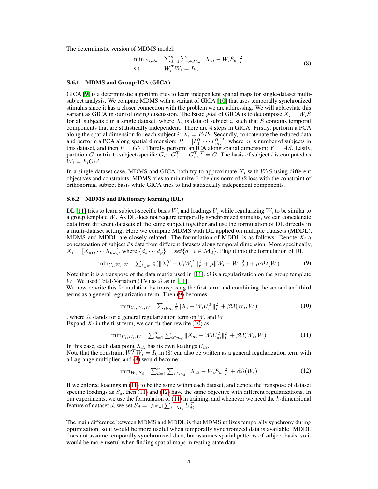The deterministic version of MDMS model:

$$
\min_{W_i, S_d} \sum_{d=1}^n \sum_{i \in \mathcal{M}_d} \|X_{di} - W_i S_d\|_F^2
$$
\ns.t.

\n
$$
W_i^T W_i = I_k,
$$
\n(8)

#### S.6.1 MDMS and Group-ICA (GICA)

GICA [\[9\]](#page-7-7) is a deterministic algorithm tries to learn independent spatial maps for single-dataset multisubject analysis. We compare MDMS with a variant of GICA [\[10\]](#page-7-8) that uses temporally synchronized stimulus since it has a closer connection with the problem we are addressing. We will abbreviate this variant as GICA in our following discussion. The basic goal of GICA is to decompose  $X_i = W_i S$ for all subjects i in a single dataset, where  $X_i$  is data of subject i, such that S contains temporal components that are statistically independent. There are 4 steps in GICA: Firstly, perform a PCA along the spatial dimension for each subject i:  $X_i = F_i P_i$ . Secondly, concatenate the reduced data and perform a PCA along spatial dimension:  $P = [P_1^T \cdots P_m^T]^T$ , where m is number of subjects in this dataset, and then  $P = GY$ . Thirdly, perform an ICA along spatial dimension:  $Y = AS$ . Lastly, partition G matrix to subject-specific  $G_i$ :  $[G_1^T \cdots G_m^T]^T = G$ . The basis of subject i is computed as  $W_i = F_i G_i A$ .

In a single dataset case, MDMS and GICA both try to approximate  $X_i$  with  $W_iS$  using different objectives and constraints. MDMS tries to minimize Frobenius norm of l2 loss with the constraint of orthonormal subject basis while GICA tries to find statistically independent components.

#### <span id="page-4-0"></span>S.6.2 MDMS and Dictionary learning (DL)

DL [\[11\]](#page-7-9) tries to learn subject-specific basis  $W_i$  and loadings  $U_i$  while regularizing  $W_i$  to be similar to a group template W. As DL does not require temporally synchronized stimulus, we can concatenate data from different datasets of the same subject together and use the formulation of DL directly in a multi-dataset setting. Here we compare MDMS with DL applied on multiple datasets (MDDL). MDMS and MDDL are closely related. The formulation of MDDL is as follows: Denote  $X_i$  a concatenation of subject i's data from different datasets along temporal dimension. More specifically,  $X_i = [X_{d_1i} \cdots X_{d_p i}]$ , where  $\{d_1 \cdots d_p\} = set\{d : i \in \mathcal{M}_d\}$ . Plug it into the formulation of DL

$$
\min_{U_i, W_i, W} \quad \sum_{i \in m} \frac{1}{2} (||X_i^T - U_i W_i^T||_F^2 + \mu ||W_i - W||_F^2) + \mu \alpha \Omega(W) \tag{9}
$$

Note that it is a transpose of the data matrix used in [\[11\]](#page-7-9).  $\Omega$  is a regularization on the group template W. We used Total-Variation (TV) as  $\Omega$  as in [\[11\]](#page-7-9).

We now rewrite this formulation by transposing the first term and combining the second and third terms as a general regularization term. Then [\(9\)](#page-4-0) becomes

$$
\min_{U_i, W_i, W} \quad \sum_{i \in m} \frac{1}{2} \|X_i - W_i U_i^T\|_F^2 + \beta \Omega(W_i, W) \tag{10}
$$

, where  $\Omega$  stands for a general regularization term on  $W_i$  and  $W$ . Expand  $X_i$  in the first term, we can further rewrite [\(10\)](#page-4-0) as

$$
\min_{U_i, W_i, W} \quad \sum_{d=1}^n \sum_{i \in m_d} \|X_{di} - W_i U_{di}^T\|_F^2 + \beta \Omega(W_i, W) \tag{11}
$$

In this case, each data point  $X_{di}$  has its own loadings  $U_{di}$ .

Note that the constraint  $W_i^T W_i = I_k$  in [\(8\)](#page-3-1) can also be written as a general regularization term with a Lagrange multiplier, and [\(8\)](#page-3-1) would become

$$
\min_{W_i, S_d} \quad \sum_{d=1}^n \sum_{i \in m_d} \|X_{di} - W_i S_d\|_F^2 + \beta \Omega(W_i)
$$
\n(12)

If we enforce loadings in [\(11\)](#page-4-0) to be the same within each dataset, and denote the transpose of dataset specific loadings as  $S_d$ , then [\(11\)](#page-4-0) and [\(12\)](#page-4-0) have the same objective with different regularizations. In our experiments, we use the formulation of  $(11)$  in training, and whenever we need the k-dimensional feature of dataset d, we set  $S_d = 1/|m_d| \sum_{i \in \mathcal{M}_d} U_{di}^T$ .

The main difference between MDMS and MDDL is that MDMS utilizes temporally synchrony during optimization, so it would be more useful when temporally synchronized data is available. MDDL does not assume temporally synchronized data, but assumes spatial patterns of subject basis, so it would be more useful when finding spatial maps in resting-state data.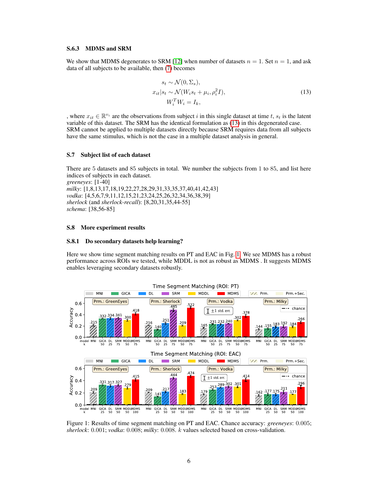#### <span id="page-5-0"></span>S.6.3 MDMS and SRM

We show that MDMS degenerates to SRM [\[12\]](#page-7-10) when number of datasets  $n = 1$ . Set  $n = 1$ , and ask data of all subjects to be available, then [\(7\)](#page-3-1) becomes

$$
s_t \sim \mathcal{N}(0, \Sigma_s),
$$
  
\n
$$
x_{it}|s_t \sim \mathcal{N}(W_i s_t + \mu_i, \rho_i^2 I),
$$
  
\n
$$
W_i^T W_i = I_k,
$$
\n(13)

, where  $x_{it} \in \mathbb{R}^{v_i}$  are the observations from subject i in this single dataset at time t,  $s_t$  is the latent variable of this dataset. The SRM has the identical formulation as [\(13\)](#page-5-0) in this degenerated case. SRM cannot be applied to multiple datasets directly because SRM requires data from all subjects have the same stimulus, which is not the case in a multiple dataset analysis in general.

#### S.7 Subject list of each dataset

There are 5 datasets and 85 subjects in total. We number the subjects from 1 to 85, and list here indices of subjects in each dataset. *greeneyes*: [1-40] *milky*: [1,8,13,17,18,19,22,27,28,29,31,33,35,37,40,41,42,43] *vodka*: [4,5,6,7,9,11,12,15,21,23,24,25,26,32,34,36,38,39] *sherlock* (and *sherlock-recall*): [8,20,31,35,44-55] *schema*: [38,56-85]

#### S.8 More experiment results

#### S.8.1 Do secondary datasets help learning?

Here we show time segment matching results on PT and EAC in Fig. [1.](#page-5-1) We see MDMS has a robust performance across ROIs we tested, while MDDL is not as robust as MDMS . It suggests MDMS enables leveraging secondary datasets robustly.

<span id="page-5-1"></span>

Figure 1: Results of time segment matching on PT and EAC. Chance accuracy: *greeneyes*: 0.005; *sherlock*: 0.001; *vodka*: 0.008; *milky*: 0.008. k values selected based on cross-validation.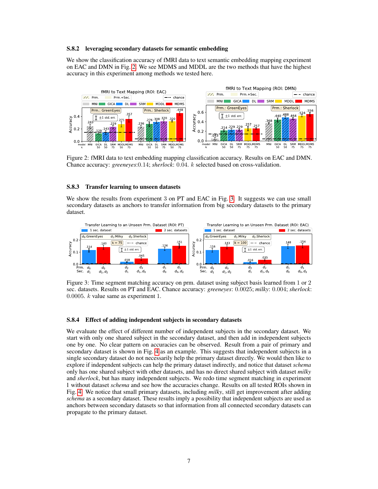#### S.8.2 leveraging secondary datasets for semantic embedding

We show the classification accuracy of fMRI data to text semantic embedding mapping experiment on EAC and DMN in Fig. [2.](#page-6-0) We see MDMS and MDDL are the two methods that have the highest accuracy in this experiment among methods we tested here.

<span id="page-6-0"></span>

Figure 2: fMRI data to text embedding mapping classification accuracy. Results on EAC and DMN. Chance accuracy: *greeneyes*:0.14; *sherlock*: 0.04. k selected based on cross-validation.

### S.8.3 Transfer learning to unseen datasets

We show the results from experiment 3 on PT and EAC in Fig. [3.](#page-6-1) It suggests we can use small secondary datasets as anchors to transfer information from big secondary datasets to the primary dataset.

<span id="page-6-1"></span>

Figure 3: Time segment matching accuracy on prm. dataset using subject basis learned from 1 or 2 sec. datasets. Results on PT and EAC. Chance accuracy: *greeneyes*: 0.0025; *milky*: 0.004; *sherlock*: 0.0005.  $k$  value same as experiment 1.

# S.8.4 Effect of adding independent subjects in secondary datasets

We evaluate the effect of different number of independent subjects in the secondary dataset. We start with only one shared subject in the secondary dataset, and then add in independent subjects one by one. No clear pattern on accuracies can be observed. Result from a pair of primary and secondary dataset is shown in Fig. [4](#page-7-11) as an example. This suggests that independent subjects in a single secondary dataset do not necessarily help the primary dataset directly. We would then like to explore if independent subjects can help the primary dataset indirectly, and notice that dataset *schema* only has one shared subject with other datasets, and has no direct shared subject with dataset *milky* and *sherlock*, but has many independent subjects. We redo time segment matching in experiment 1 without dataset *schema* and see how the accuracies change. Results on all tested ROIs shown in Fig. [4.](#page-7-11) We notice that small primary datasets, including *milky*, still get improvement after adding *schema* as a secondary dataset. These results imply a possibility that independent subjects are used as anchors between secondary datasets so that information from all connected secondary datasets can propagate to the primary dataset.